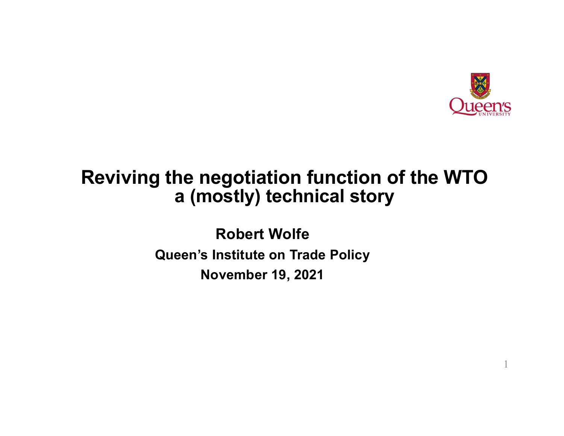

1

### **Reviving the negotiation function of the WTO a (mostly) technical story**

**Robert Wolfe Queen's Institute on Trade Policy November 19, 2021**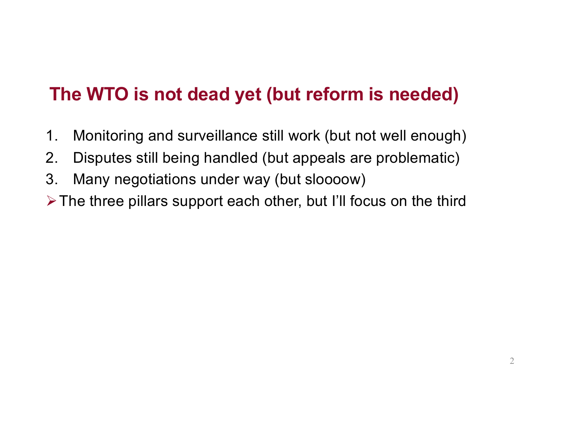## **The WTO is not dead yet (but reform is needed)**

- 1. Monitoring and surveillance still work (but not well enough)
- 2. Disputes still being handled (but appeals are problematic)
- 3. Many negotiations under way (but sloooow)
- $\triangleright$  The three pillars support each other, but I'll focus on the third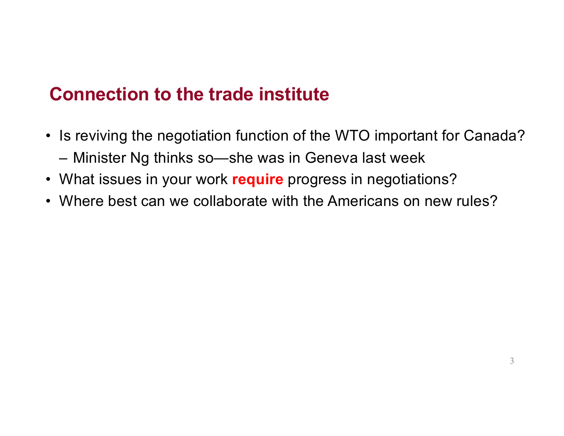## **Connection to the trade institute**

- Is reviving the negotiation function of the WTO important for Canada? – Minister Ng thinks so—she was in Geneva last week
- What issues in your work **require** progress in negotiations?
- Where best can we collaborate with the Americans on new rules?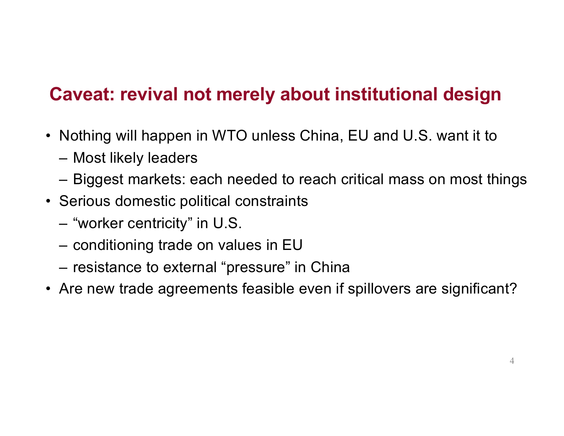## **Caveat: revival not merely about institutional design**

- Nothing will happen in WTO unless China, EU and U.S. want it to
	- Most likely leaders
	- Biggest markets: each needed to reach critical mass on most things
- Serious domestic political constraints
	- "worker centricity" in U.S.
	- conditioning trade on values in EU
	- resistance to external "pressure" in China
- Are new trade agreements feasible even if spillovers are significant?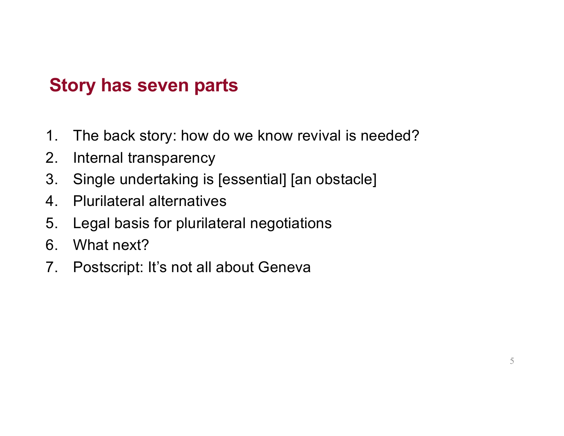## **Story has seven parts**

- 1. The back story: how do we know revival is needed?
- 2. Internal transparency
- 3. Single undertaking is [essential] [an obstacle]
- 4. Plurilateral alternatives
- 5. Legal basis for plurilateral negotiations
- 6. What next?
- 7. Postscript: It's not all about Geneva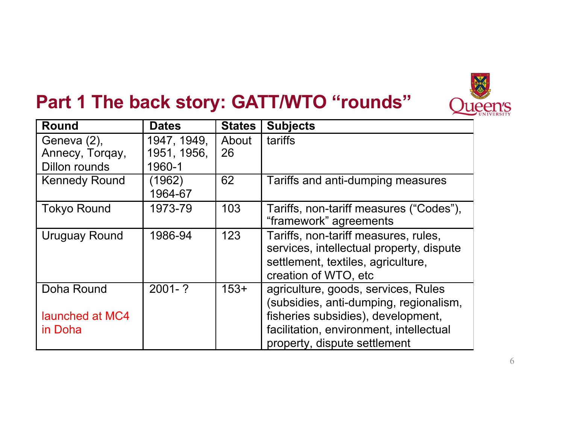

# **Part 1 The back story: GATT/WTO "rounds"**

| <b>Round</b>                                    | <b>Dates</b>                         | <b>States</b> | <b>Subjects</b>                                                                                                                                |
|-------------------------------------------------|--------------------------------------|---------------|------------------------------------------------------------------------------------------------------------------------------------------------|
| Geneva (2),<br>Annecy, Torgay,<br>Dillon rounds | 1947, 1949,<br>1951, 1956,<br>1960-1 | About<br>26   | tariffs                                                                                                                                        |
|                                                 |                                      |               |                                                                                                                                                |
| <b>Kennedy Round</b>                            | (1962)<br>1964-67                    | 62            | Tariffs and anti-dumping measures                                                                                                              |
| <b>Tokyo Round</b>                              | 1973-79                              | 103           | Tariffs, non-tariff measures ("Codes"),<br>"framework" agreements                                                                              |
| Uruguay Round                                   | 1986-94                              | 123           | Tariffs, non-tariff measures, rules,<br>services, intellectual property, dispute<br>settlement, textiles, agriculture,<br>creation of WTO, etc |
| Doha Round                                      | $2001 - ?$                           | $153+$        | agriculture, goods, services, Rules<br>(subsidies, anti-dumping, regionalism,                                                                  |
| launched at MC4<br>in Doha                      |                                      |               | fisheries subsidies), development,<br>facilitation, environment, intellectual<br>property, dispute settlement                                  |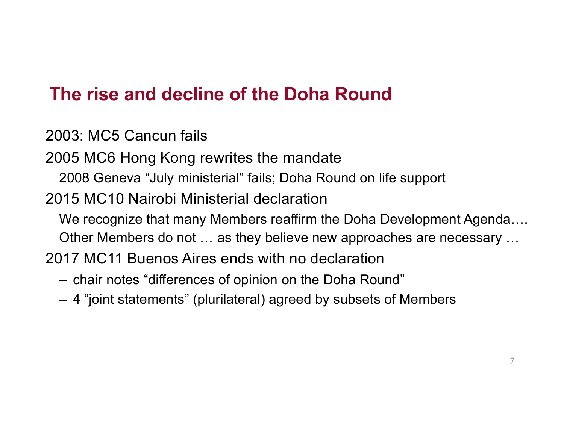## **The rise and decline of the Doha Round**

2003: MC5 Cancun fails

2005 MC6 Hong Kong rewrites the mandate

2008 Geneva "July ministerial" fails; Doha Round on life support

2015 MC10 Nairobi Ministerial declaration

We recognize that many Members reaffirm the Doha Development Agenda….

Other Members do not … as they believe new approaches are necessary …

2017 MC11 Buenos Aires ends with no declaration

- chair notes "differences of opinion on the Doha Round"
- 4 "joint statements" (plurilateral) agreed by subsets of Members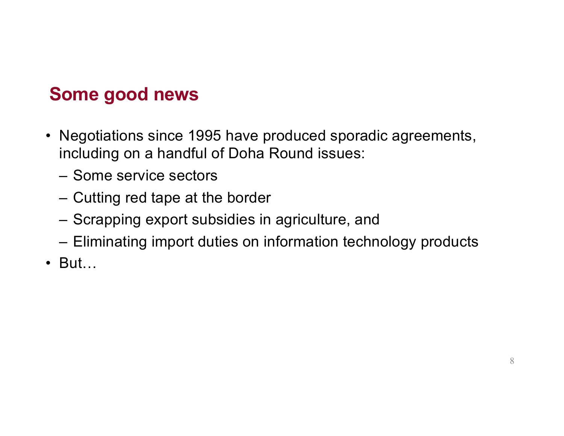## **Some good news**

- Negotiations since 1995 have produced sporadic agreements, including on a handful of Doha Round issues:
	- Some service sectors
	- Cutting red tape at the border
	- Scrapping export subsidies in agriculture, and
	- Eliminating import duties on information technology products
- But…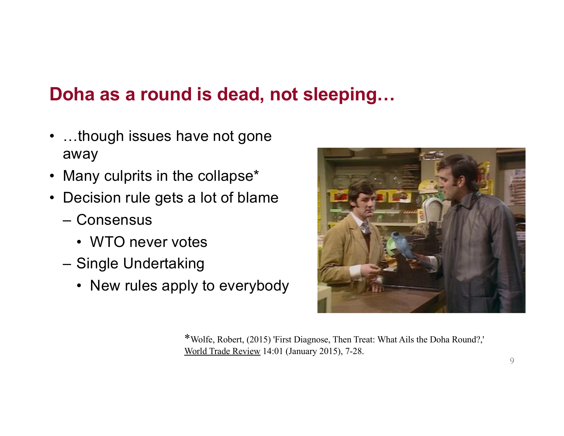## **Doha as a round is dead, not sleeping…**

- ...though issues have not gone away
- Many culprits in the collapse\*
- Decision rule gets a lot of blame
	- Consensus
		- WTO never votes
	- Single Undertaking
		- New rules apply to everybody



\*Wolfe, Robert, (2015) 'First Diagnose, Then Treat: What Ails the Doha Round?,' World Trade Review 14:01 (January 2015), 7-28.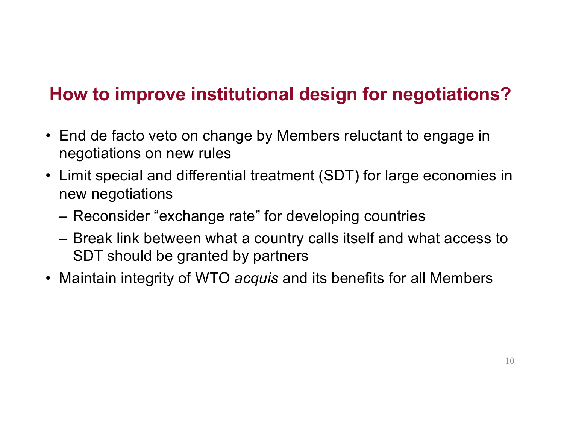## **How to improve institutional design for negotiations?**

- End de facto veto on change by Members reluctant to engage in negotiations on new rules
- Limit special and differential treatment (SDT) for large economies in new negotiations
	- Reconsider "exchange rate" for developing countries
	- Break link between what a country calls itself and what access to SDT should be granted by partners
- Maintain integrity of WTO *acquis* and its benefits for all Members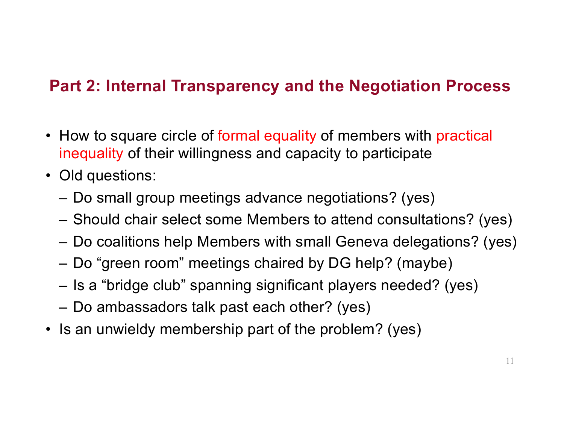### **Part 2: Internal Transparency and the Negotiation Process**

- How to square circle of formal equality of members with practical inequality of their willingness and capacity to participate
- Old questions:
	- Do small group meetings advance negotiations? (yes)
	- Should chair select some Members to attend consultations? (yes)
	- Do coalitions help Members with small Geneva delegations? (yes)
	- Do "green room" meetings chaired by DG help? (maybe)
	- Is a "bridge club" spanning significant players needed? (yes)
	- Do ambassadors talk past each other? (yes)
- Is an unwieldy membership part of the problem? (yes)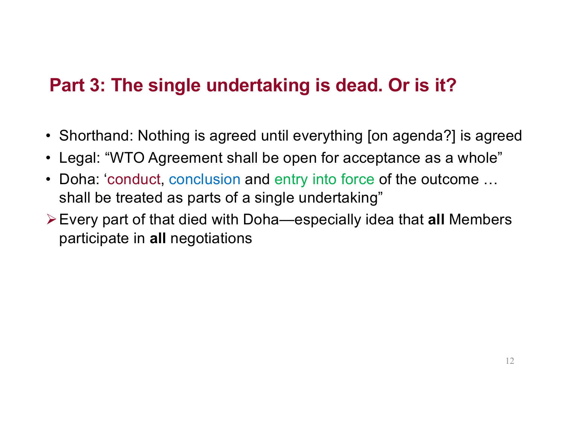## **Part 3: The single undertaking is dead. Or is it?**

- Shorthand: Nothing is agreed until everything [on agenda?] is agreed
- Legal: "WTO Agreement shall be open for acceptance as a whole"
- Doha: 'conduct, conclusion and entry into force of the outcome … shall be treated as parts of a single undertaking"
- !Every part of that died with Doha—especially idea that **all** Members participate in **all** negotiations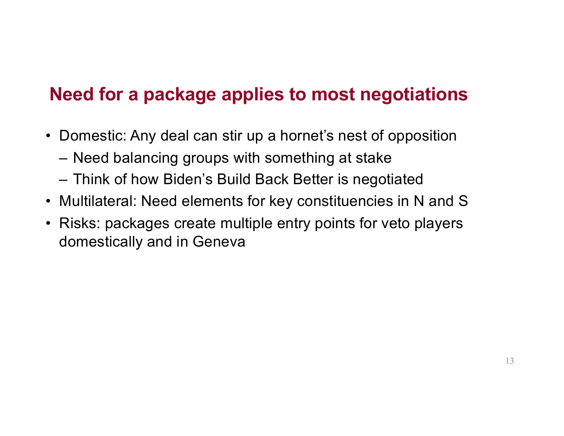### **Need for a package applies to most negotiations**

- Domestic: Any deal can stir up a hornet's nest of opposition
	- Need balancing groups with something at stake
	- Think of how Biden's Build Back Better is negotiated
- Multilateral: Need elements for key constituencies in N and S
- Risks: packages create multiple entry points for veto players domestically and in Geneva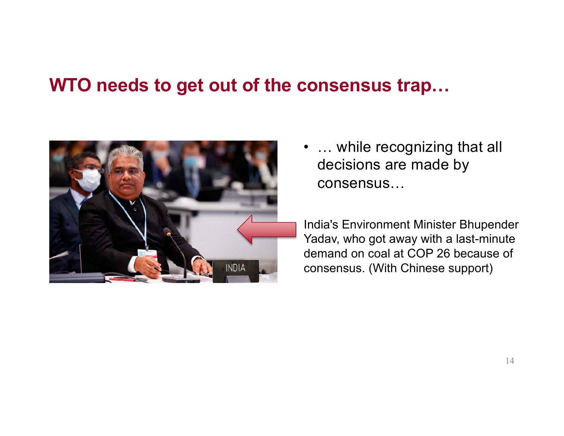### **WTO needs to get out of the consensus trap…**



• ... while recognizing that all decisions are made by consensus…

India's Environment Minister Bhupender Yadav, who got away with a last-minute demand on coal at COP 26 because of consensus. (With Chinese support)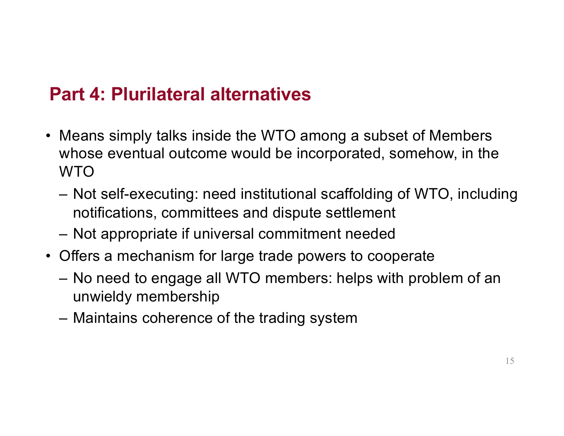## **Part 4: Plurilateral alternatives**

- Means simply talks inside the WTO among a subset of Members whose eventual outcome would be incorporated, somehow, in the WTO
	- Not self-executing: need institutional scaffolding of WTO, including notifications, committees and dispute settlement
	- Not appropriate if universal commitment needed
- Offers a mechanism for large trade powers to cooperate
	- No need to engage all WTO members: helps with problem of an unwieldy membership
	- Maintains coherence of the trading system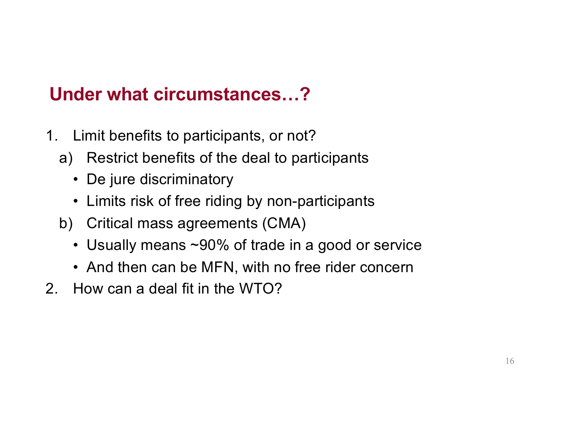## **Under what circumstances…?**

- 1. Limit benefits to participants, or not?
	- a) Restrict benefits of the deal to participants
		- De jure discriminatory
		- Limits risk of free riding by non-participants
	- b) Critical mass agreements (CMA)
		- Usually means ~90% of trade in a good or service
		- And then can be MFN, with no free rider concern
- 2. How can a deal fit in the WTO?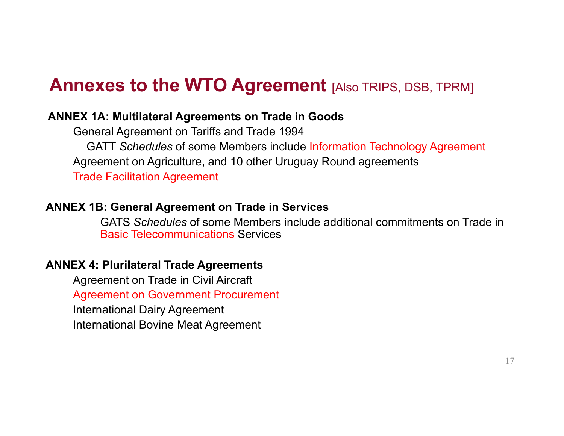### **Annexes to the WTO Agreement** [Also TRIPS, DSB, TPRM]

#### **ANNEX 1A: Multilateral Agreements on Trade in Goods**

General Agreement on Tariffs and Trade 1994 GATT *Schedules* of some Members include Information Technology Agreement Agreement on Agriculture, and 10 other Uruguay Round agreements Trade Facilitation Agreement

#### **ANNEX 1B: General Agreement on Trade in Services**

GATS *Schedules* of some Members include additional commitments on Trade in Basic Telecommunications Services

#### **ANNEX 4: Plurilateral Trade Agreements**

Agreement on Trade in Civil Aircraft Agreement on Government Procurement International Dairy Agreement International Bovine Meat Agreement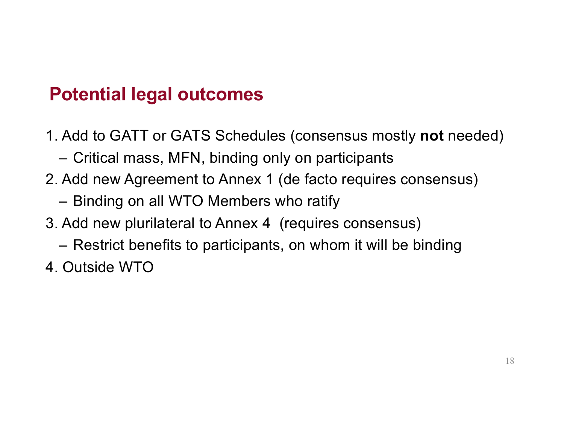## **Potential legal outcomes**

- 1. Add to GATT or GATS Schedules (consensus mostly **not** needed)
	- Critical mass, MFN, binding only on participants
- 2. Add new Agreement to Annex 1 (de facto requires consensus)
	- Binding on all WTO Members who ratify
- 3. Add new plurilateral to Annex 4 (requires consensus)
	- Restrict benefits to participants, on whom it will be binding
- 4. Outside WTO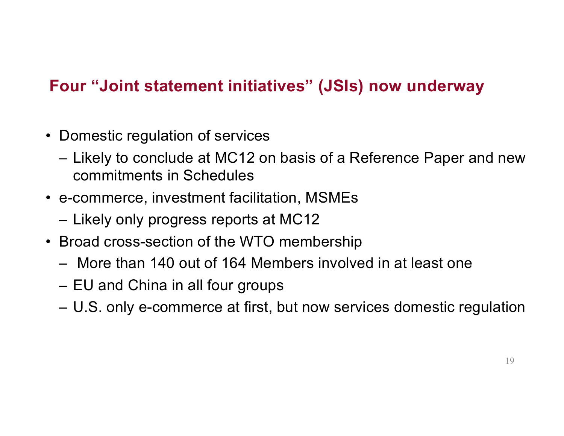### **Four "Joint statement initiatives" (JSIs) now underway**

- Domestic regulation of services
	- Likely to conclude at MC12 on basis of a Reference Paper and new commitments in Schedules
- e-commerce, investment facilitation, MSMEs
	- Likely only progress reports at MC12
- Broad cross-section of the WTO membership
	- More than 140 out of 164 Members involved in at least one
	- EU and China in all four groups
	- U.S. only e-commerce at first, but now services domestic regulation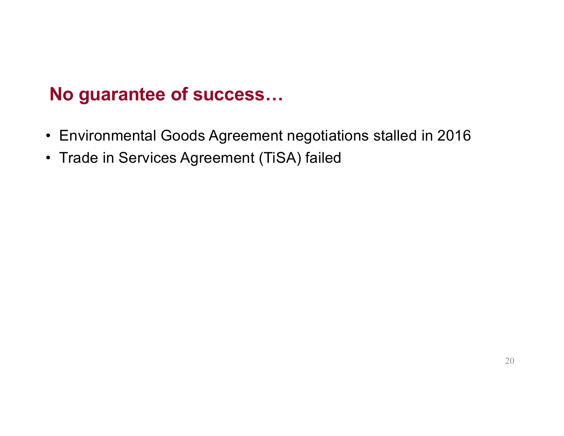### **No guarantee of success…**

- Environmental Goods Agreement negotiations stalled in 2016
- Trade in Services Agreement (TiSA) failed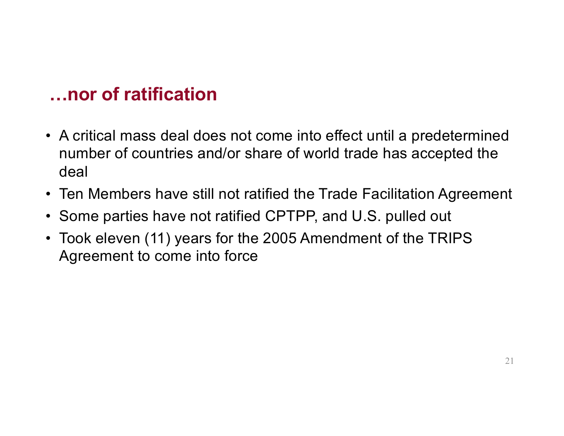### **…nor of ratification**

- A critical mass deal does not come into effect until a predetermined number of countries and/or share of world trade has accepted the deal
- Ten Members have still not ratified the Trade Facilitation Agreement
- Some parties have not ratified CPTPP, and U.S. pulled out
- Took eleven (11) years for the 2005 Amendment of the TRIPS Agreement to come into force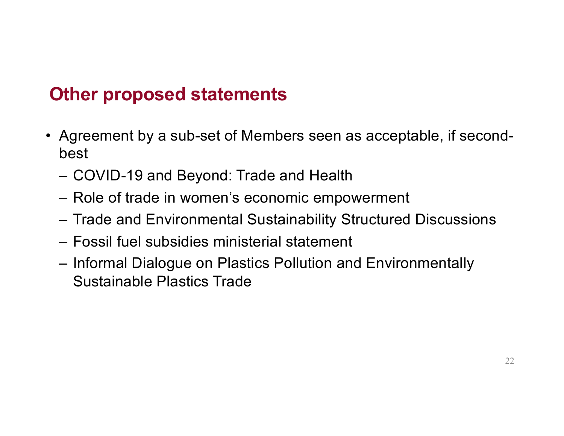### **Other proposed statements**

- Agreement by a sub-set of Members seen as acceptable, if secondbest
	- COVID-19 and Beyond: Trade and Health
	- Role of trade in women's economic empowerment
	- Trade and Environmental Sustainability Structured Discussions
	- Fossil fuel subsidies ministerial statement
	- Informal Dialogue on Plastics Pollution and Environmentally Sustainable Plastics Trade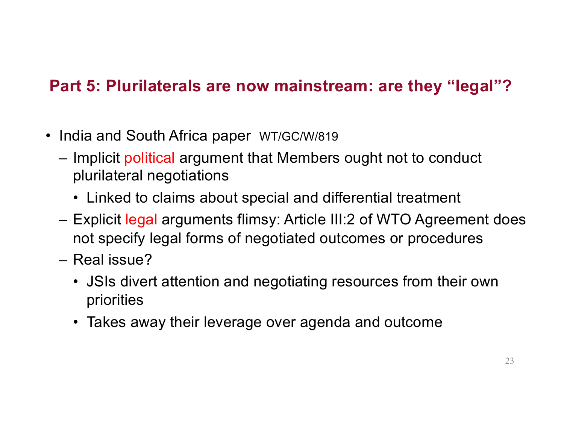### **Part 5: Plurilaterals are now mainstream: are they "legal"?**

- India and South Africa paper WT/GC/W/819
	- Implicit political argument that Members ought not to conduct plurilateral negotiations
		- Linked to claims about special and differential treatment
	- Explicit legal arguments flimsy: Article III:2 of WTO Agreement does not specify legal forms of negotiated outcomes or procedures
	- Real issue?
		- JSIs divert attention and negotiating resources from their own priorities
		- Takes away their leverage over agenda and outcome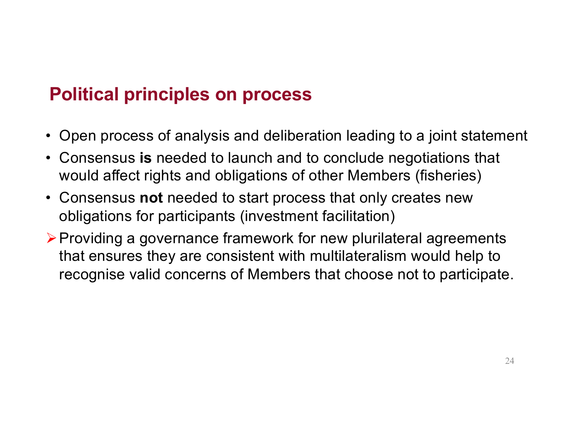## **Political principles on process**

- Open process of analysis and deliberation leading to a joint statement
- Consensus **is** needed to launch and to conclude negotiations that would affect rights and obligations of other Members (fisheries)
- Consensus **not** needed to start process that only creates new obligations for participants (investment facilitation)
- $\triangleright$  Providing a governance framework for new plurilateral agreements that ensures they are consistent with multilateralism would help to recognise valid concerns of Members that choose not to participate.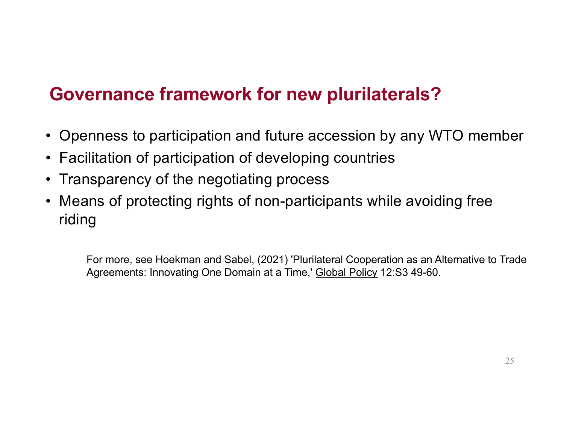## **Governance framework for new plurilaterals?**

- Openness to participation and future accession by any WTO member
- Facilitation of participation of developing countries
- Transparency of the negotiating process
- Means of protecting rights of non-participants while avoiding free riding

For more, see Hoekman and Sabel, (2021) 'Plurilateral Cooperation as an Alternative to Trade Agreements: Innovating One Domain at a Time,' Global Policy 12:S3 49-60.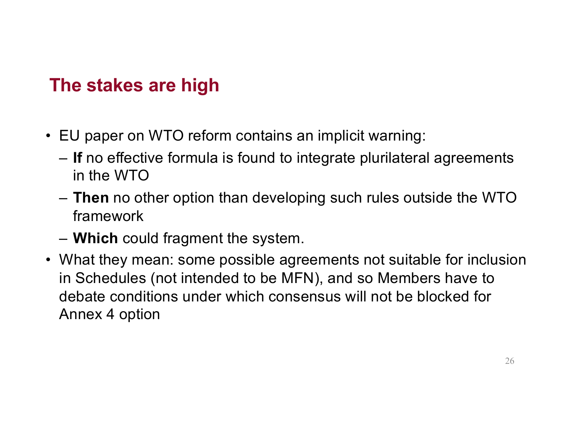### **The stakes are high**

- EU paper on WTO reform contains an implicit warning:
	- **If** no effective formula is found to integrate plurilateral agreements in the WTO
	- **Then** no other option than developing such rules outside the WTO framework
	- **Which** could fragment the system.
- What they mean: some possible agreements not suitable for inclusion in Schedules (not intended to be MFN), and so Members have to debate conditions under which consensus will not be blocked for Annex 4 option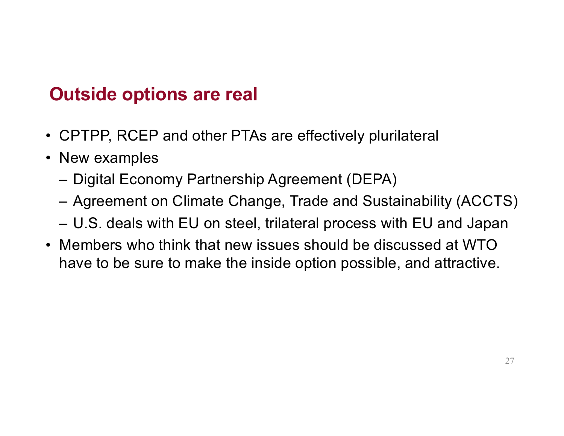## **Outside options are real**

- CPTPP, RCEP and other PTAs are effectively plurilateral
- New examples
	- Digital Economy Partnership Agreement (DEPA)
	- Agreement on Climate Change, Trade and Sustainability (ACCTS)
	- U.S. deals with EU on steel, trilateral process with EU and Japan
- Members who think that new issues should be discussed at WTO have to be sure to make the inside option possible, and attractive.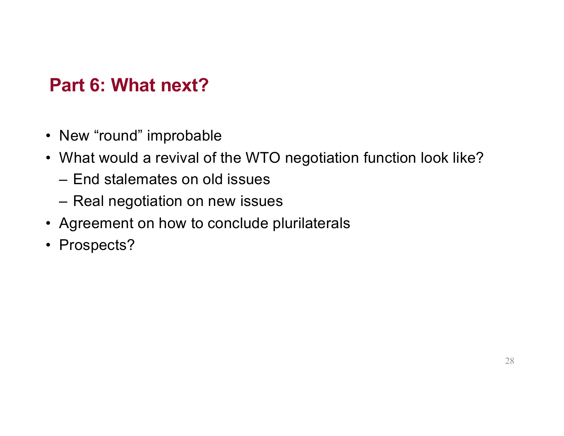## **Part 6: What next?**

- New "round" improbable
- What would a revival of the WTO negotiation function look like?
	- End stalemates on old issues
	- Real negotiation on new issues
- Agreement on how to conclude plurilaterals
- Prospects?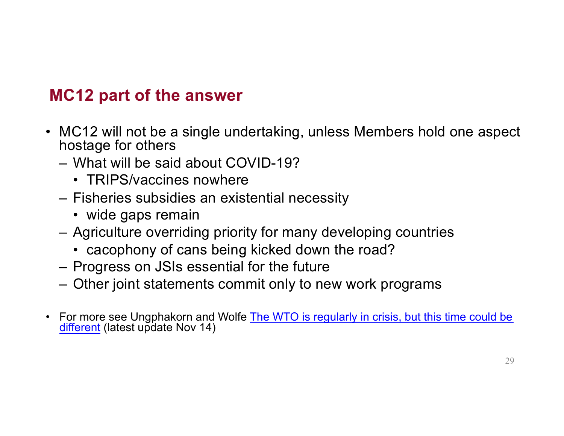### **MC12 part of the answer**

- MC12 will not be a single undertaking, unless Members hold one aspect hostage for others
	- What will be said about COVID-19?
		- TRIPS/vaccines nowhere
	- Fisheries subsidies an existential necessity
		- wide gaps remain
	- Agriculture overriding priority for many developing countries
		- cacophony of cans being kicked down the road?
	- Progress on JSIs essential for the future
	- Other joint statements commit only to new work programs
- For more see Ungphakorn [and Wolfe The WTO is regularly in crisis, but this time could b](https://tradebetablog.wordpress.com/2021/10/30/wto-crisis-this-time-different/)e [different](https://tradebetablog.wordpress.com/2021/10/30/wto-crisis-this-time-different/) (latest update Nov 14)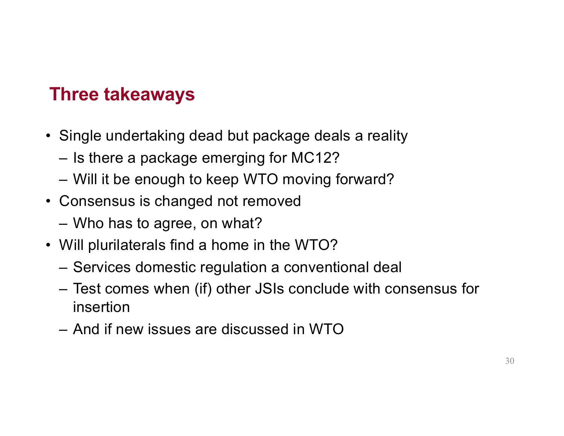### **Three takeaways**

- Single undertaking dead but package deals a reality
	- Is there a package emerging for MC12?
	- Will it be enough to keep WTO moving forward?
- Consensus is changed not removed
	- Who has to agree, on what?
- Will plurilaterals find a home in the WTO?
	- Services domestic regulation a conventional deal
	- Test comes when (if) other JSIs conclude with consensus for insertion
	- And if new issues are discussed in WTO